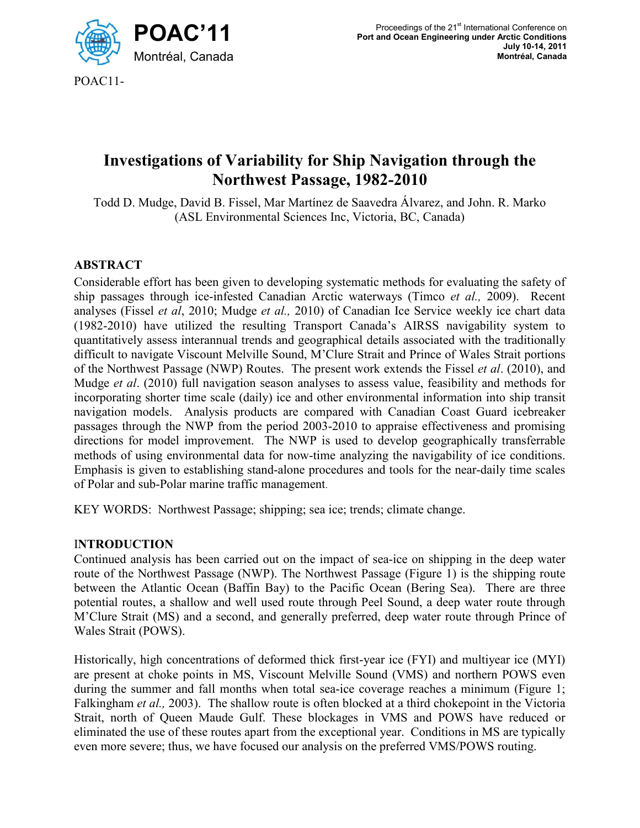

POAC11-

# **Investigations of Variability for Ship Navigation through the Northwest Passage, 1982-2010**

Todd D. Mudge, David B. Fissel, Mar Martínez de Saavedra Álvarez, and John. R. Marko (ASL Environmental Sciences Inc, Victoria, BC, Canada)

## **ABSTRACT**

Considerable effort has been given to developing systematic methods for evaluating the safety of ship passages through ice-infested Canadian Arctic waterways (Timco *et al.,* 2009). Recent analyses (Fissel *et al*, 2010; Mudge *et al.,* 2010) of Canadian Ice Service weekly ice chart data (1982-2010) have utilized the resulting Transport Canada's AIRSS navigability system to quantitatively assess interannual trends and geographical details associated with the traditionally difficult to navigate Viscount Melville Sound, M'Clure Strait and Prince of Wales Strait portions of the Northwest Passage (NWP) Routes. The present work extends the Fissel *et al*. (2010), and Mudge *et al*. (2010) full navigation season analyses to assess value, feasibility and methods for incorporating shorter time scale (daily) ice and other environmental information into ship transit navigation models. Analysis products are compared with Canadian Coast Guard icebreaker passages through the NWP from the period 2003-2010 to appraise effectiveness and promising directions for model improvement. The NWP is used to develop geographically transferrable methods of using environmental data for now-time analyzing the navigability of ice conditions. Emphasis is given to establishing stand-alone procedures and tools for the near-daily time scales of Polar and sub-Polar marine traffic management.

KEY WORDS: Northwest Passage; shipping; sea ice; trends; climate change.

#### I**NTRODUCTION**

Continued analysis has been carried out on the impact of sea-ice on shipping in the deep water route of the Northwest Passage (NWP). The Northwest Passage (Figure 1) is the shipping route between the Atlantic Ocean (Baffin Bay) to the Pacific Ocean (Bering Sea). There are three potential routes, a shallow and well used route through Peel Sound, a deep water route through M'Clure Strait (MS) and a second, and generally preferred, deep water route through Prince of Wales Strait (POWS).

Historically, high concentrations of deformed thick first-year ice (FYI) and multiyear ice (MYI) are present at choke points in MS, Viscount Melville Sound (VMS) and northern POWS even during the summer and fall months when total sea-ice coverage reaches a minimum (Figure 1; Falkingham *et al.,* 2003). The shallow route is often blocked at a third chokepoint in the Victoria Strait, north of Queen Maude Gulf. These blockages in VMS and POWS have reduced or eliminated the use of these routes apart from the exceptional year. Conditions in MS are typically even more severe; thus, we have focused our analysis on the preferred VMS/POWS routing.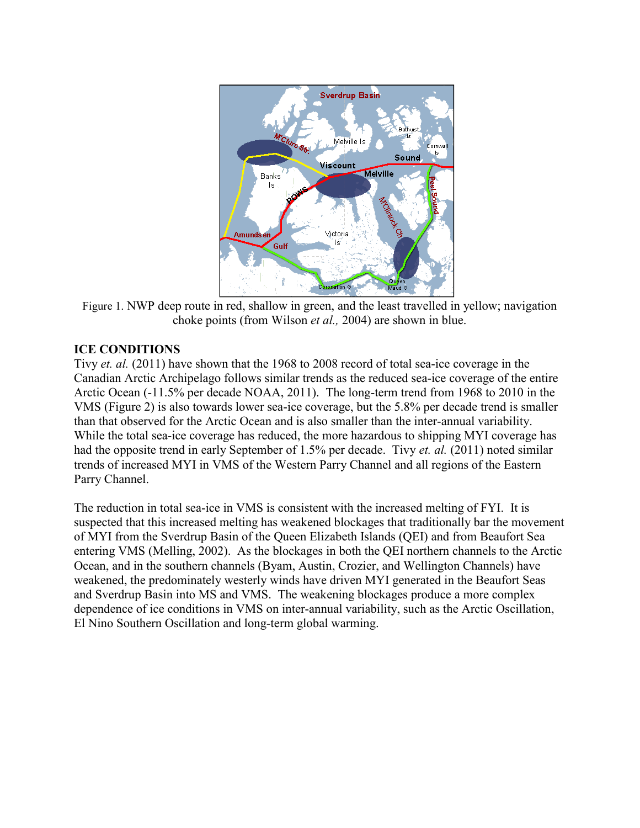

Figure 1. NWP deep route in red, shallow in green, and the least travelled in yellow; navigation choke points (from Wilson *et al.,* 2004) are shown in blue.

#### **ICE CONDITIONS**

Tivy *et. al.* (2011) have shown that the 1968 to 2008 record of total sea-ice coverage in the Canadian Arctic Archipelago follows similar trends as the reduced sea-ice coverage of the entire Arctic Ocean (-11.5% per decade NOAA, 2011). The long-term trend from 1968 to 2010 in the VMS (Figure 2) is also towards lower sea-ice coverage, but the 5.8% per decade trend is smaller than that observed for the Arctic Ocean and is also smaller than the inter-annual variability. While the total sea-ice coverage has reduced, the more hazardous to shipping MYI coverage has had the opposite trend in early September of 1.5% per decade. Tivy *et. al.* (2011) noted similar trends of increased MYI in VMS of the Western Parry Channel and all regions of the Eastern Parry Channel.

The reduction in total sea-ice in VMS is consistent with the increased melting of FYI. It is suspected that this increased melting has weakened blockages that traditionally bar the movement of MYI from the Sverdrup Basin of the Queen Elizabeth Islands (QEI) and from Beaufort Sea entering VMS (Melling, 2002). As the blockages in both the QEI northern channels to the Arctic Ocean, and in the southern channels (Byam, Austin, Crozier, and Wellington Channels) have weakened, the predominately westerly winds have driven MYI generated in the Beaufort Seas and Sverdrup Basin into MS and VMS. The weakening blockages produce a more complex dependence of ice conditions in VMS on inter-annual variability, such as the Arctic Oscillation, El Nino Southern Oscillation and long-term global warming.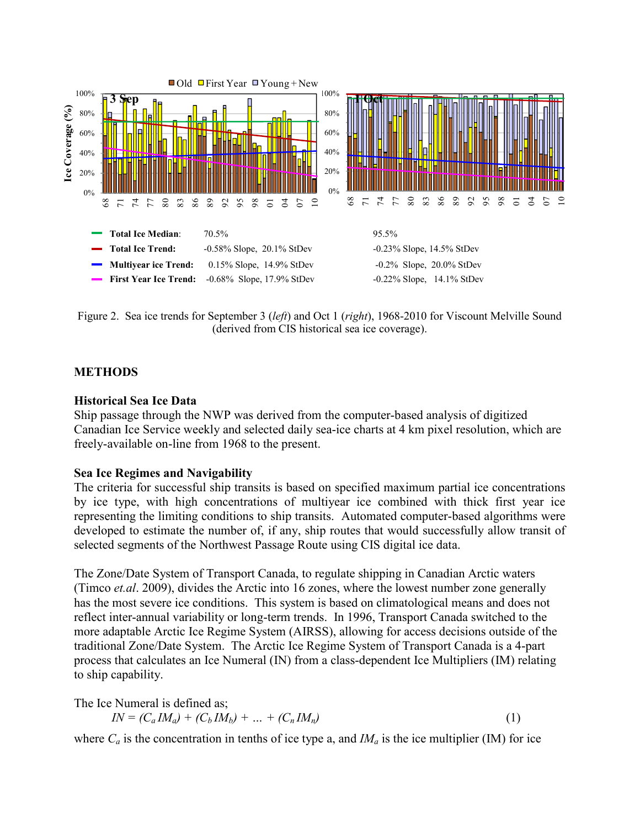

Figure 2. Sea ice trends for September 3 (*left*) and Oct 1 (*right*), 1968-2010 for Viscount Melville Sound (derived from CIS historical sea ice coverage).

#### **METHODS**

#### **Historical Sea Ice Data**

Ship passage through the NWP was derived from the computer-based analysis of digitized Canadian Ice Service weekly and selected daily sea-ice charts at 4 km pixel resolution, which are freely-available on-line from 1968 to the present.

#### **Sea Ice Regimes and Navigability**

The criteria for successful ship transits is based on specified maximum partial ice concentrations by ice type, with high concentrations of multiyear ice combined with thick first year ice representing the limiting conditions to ship transits. Automated computer-based algorithms were developed to estimate the number of, if any, ship routes that would successfully allow transit of selected segments of the Northwest Passage Route using CIS digital ice data.

The Zone/Date System of Transport Canada, to regulate shipping in Canadian Arctic waters (Timco *et.al*. 2009), divides the Arctic into 16 zones, where the lowest number zone generally has the most severe ice conditions. This system is based on climatological means and does not reflect inter-annual variability or long-term trends. In 1996, Transport Canada switched to the more adaptable Arctic Ice Regime System (AIRSS), allowing for access decisions outside of the traditional Zone/Date System. The Arctic Ice Regime System of Transport Canada is a 4-part process that calculates an Ice Numeral (IN) from a class-dependent Ice Multipliers (IM) relating to ship capability.

The Ice Numeral is defined as;

$$
IN = (C_a IM_a) + (C_b IM_b) + \dots + (C_n IM_n)
$$
 (1)

where  $C_a$  is the concentration in tenths of ice type a, and  $M_a$  is the ice multiplier (IM) for ice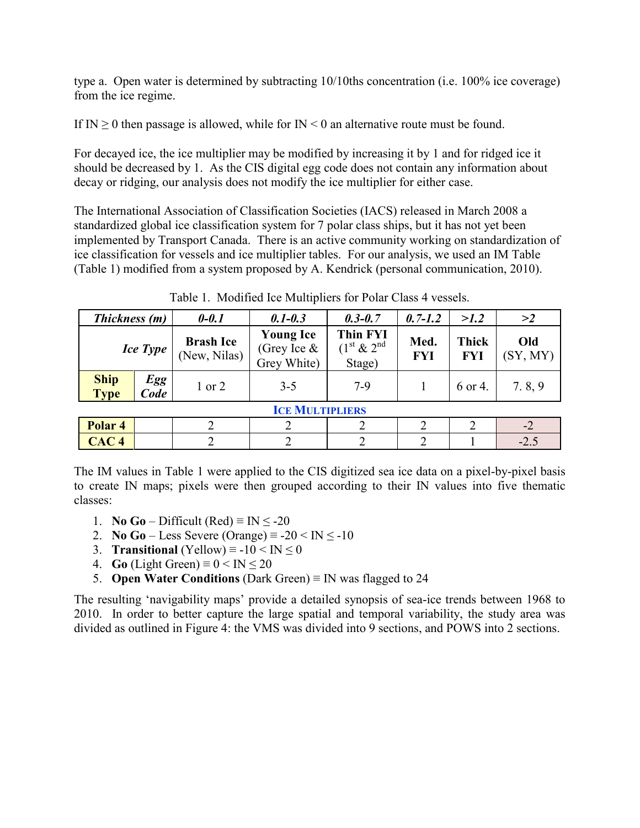type a. Open water is determined by subtracting 10/10ths concentration (i.e. 100% ice coverage) from the ice regime.

If IN  $\geq$  0 then passage is allowed, while for IN < 0 an alternative route must be found.

For decayed ice, the ice multiplier may be modified by increasing it by 1 and for ridged ice it should be decreased by 1. As the CIS digital egg code does not contain any information about decay or ridging, our analysis does not modify the ice multiplier for either case.

The International Association of Classification Societies (IACS) released in March 2008 a standardized global ice classification system for 7 polar class ships, but it has not yet been implemented by Transport Canada. There is an active community working on standardization of ice classification for vessels and ice multiplier tables. For our analysis, we used an IM Table (Table 1) modified from a system proposed by A. Kendrick (personal communication, 2010).

| Thickness (m)              |                    | $0 - 0.1$                        | $0.1 - 0.3$                                       | $0.3 - 0.7$                                                       | $0.7 - 1.2$        | >1.2                       | >2              |
|----------------------------|--------------------|----------------------------------|---------------------------------------------------|-------------------------------------------------------------------|--------------------|----------------------------|-----------------|
| <b>Ice Type</b>            |                    | <b>Brash Ice</b><br>(New, Nilas) | <b>Young Ice</b><br>(Grey Ice $\&$<br>Grey White) | <b>Thin FYI</b><br>(1 <sup>st</sup> & 2 <sup>nd</sup> )<br>Stage) | Med.<br><b>FYI</b> | <b>Thick</b><br><b>FYI</b> | Old<br>(SY, MY) |
| <b>Ship</b><br><b>Type</b> | <b>Egg</b><br>Code | $1$ or $2$                       | $3 - 5$                                           | $7-9$                                                             |                    | 6 or 4.                    | 7.8, 9          |
| <b>ICE MULTIPLIERS</b>     |                    |                                  |                                                   |                                                                   |                    |                            |                 |
| Polar <sub>4</sub>         |                    |                                  |                                                   |                                                                   |                    |                            | $-2$            |
| CAC <sub>4</sub>           |                    | っ                                | 2                                                 |                                                                   | ↑                  |                            | $-2.5$          |

Table 1. Modified Ice Multipliers for Polar Class 4 vessels.

The IM values in Table 1 were applied to the CIS digitized sea ice data on a pixel-by-pixel basis to create IN maps; pixels were then grouped according to their IN values into five thematic classes:

- 1. **No Go** Difficult (Red)  $\equiv$  IN  $\le$  -20
- 2. **No Go** Less Severe (Orange)  $\equiv -20 \leq \text{IN} \leq -10$
- 3. **Transitional** (Yellow)  $\equiv -10 < \text{IN} \le 0$
- 4. **Go** (Light Green)  $\equiv 0 \leq \text{IN} \leq 20$
- 5. **Open Water Conditions** (Dark Green) ≡ IN was flagged to 24

The resulting 'navigability maps' provide a detailed synopsis of sea-ice trends between 1968 to 2010. In order to better capture the large spatial and temporal variability, the study area was divided as outlined in Figure 4: the VMS was divided into 9 sections, and POWS into 2 sections.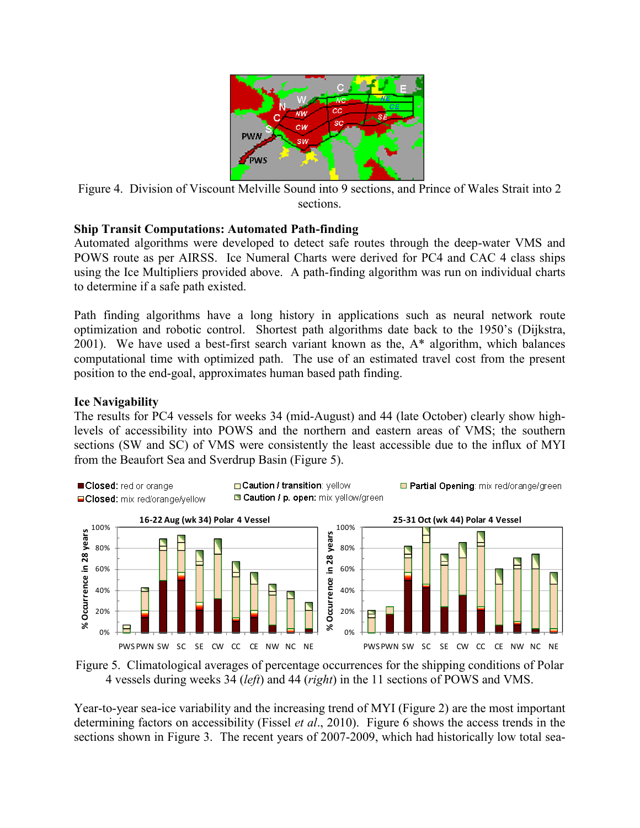

Figure 4. Division of Viscount Melville Sound into 9 sections, and Prince of Wales Strait into 2 sections.

#### **Ship Transit Computations: Automated Path-finding**

Automated algorithms were developed to detect safe routes through the deep-water VMS and POWS route as per AIRSS. Ice Numeral Charts were derived for PC4 and CAC 4 class ships using the Ice Multipliers provided above. A path-finding algorithm was run on individual charts to determine if a safe path existed.

Path finding algorithms have a long history in applications such as neural network route optimization and robotic control. Shortest path algorithms date back to the 1950's (Dijkstra, 2001). We have used a best-first search variant known as the, A\* algorithm, which balances computational time with optimized path. The use of an estimated travel cost from the present position to the end-goal, approximates human based path finding.

## **Ice Navigability**

The results for PC4 vessels for weeks 34 (mid-August) and 44 (late October) clearly show highlevels of accessibility into POWS and the northern and eastern areas of VMS; the southern sections (SW and SC) of VMS were consistently the least accessible due to the influx of MYI from the Beaufort Sea and Sverdrup Basin (Figure 5).





Year-to-year sea-ice variability and the increasing trend of MYI (Figure 2) are the most important determining factors on accessibility (Fissel *et al*., 2010). Figure 6 shows the access trends in the sections shown in Figure 3. The recent years of 2007-2009, which had historically low total sea-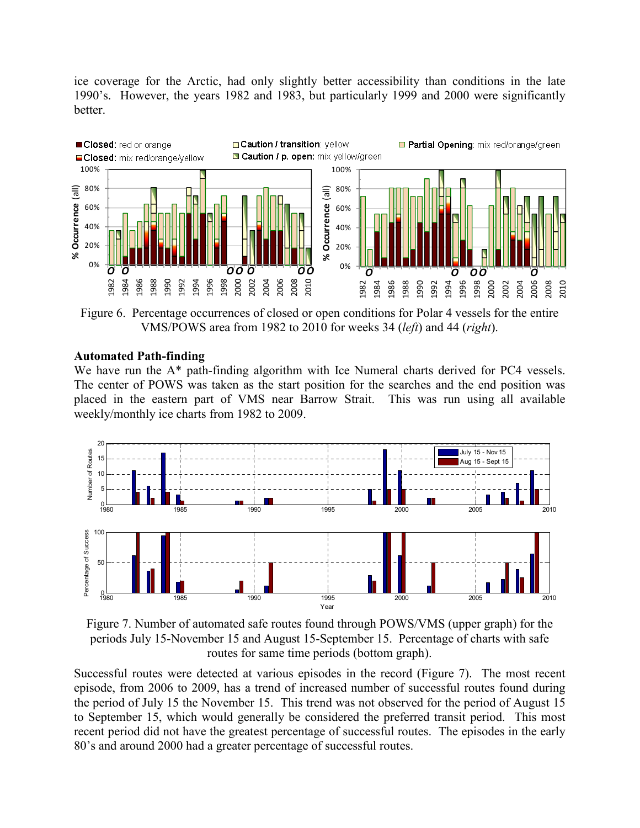ice coverage for the Arctic, had only slightly better accessibility than conditions in the late 1990's. However, the years 1982 and 1983, but particularly 1999 and 2000 were significantly better.



Figure 6. Percentage occurrences of closed or open conditions for Polar 4 vessels for the entire VMS/POWS area from 1982 to 2010 for weeks 34 (*left*) and 44 (*right*).

#### **Automated Path-finding**

We have run the A<sup>\*</sup> path-finding algorithm with Ice Numeral charts derived for PC4 vessels. The center of POWS was taken as the start position for the searches and the end position was placed in the eastern part of VMS near Barrow Strait. This was run using all available weekly/monthly ice charts from 1982 to 2009.



Figure 7. Number of automated safe routes found through POWS/VMS (upper graph) for the periods July 15-November 15 and August 15-September 15. Percentage of charts with safe routes for same time periods (bottom graph).

Successful routes were detected at various episodes in the record (Figure 7). The most recent episode, from 2006 to 2009, has a trend of increased number of successful routes found during the period of July 15 the November 15. This trend was not observed for the period of August 15 to September 15, which would generally be considered the preferred transit period. This most recent period did not have the greatest percentage of successful routes. The episodes in the early 80's and around 2000 had a greater percentage of successful routes.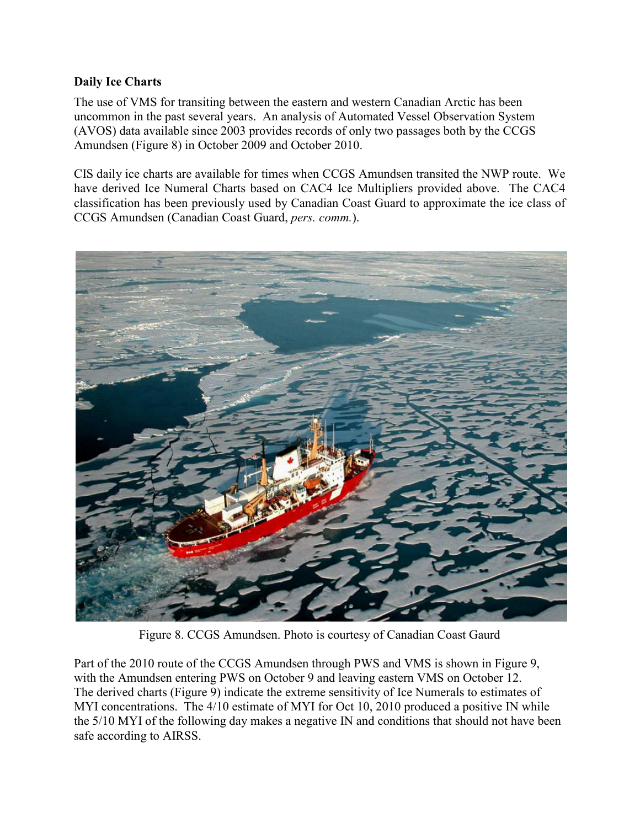#### **Daily Ice Charts**

The use of VMS for transiting between the eastern and western Canadian Arctic has been uncommon in the past several years. An analysis of Automated Vessel Observation System (AVOS) data available since 2003 provides records of only two passages both by the CCGS Amundsen (Figure 8) in October 2009 and October 2010.

CIS daily ice charts are available for times when CCGS Amundsen transited the NWP route. We have derived Ice Numeral Charts based on CAC4 Ice Multipliers provided above. The CAC4 classification has been previously used by Canadian Coast Guard to approximate the ice class of CCGS Amundsen (Canadian Coast Guard, *pers. comm.*).



Figure 8. CCGS Amundsen. Photo is courtesy of Canadian Coast Gaurd

Part of the 2010 route of the CCGS Amundsen through PWS and VMS is shown in Figure 9, with the Amundsen entering PWS on October 9 and leaving eastern VMS on October 12. The derived charts (Figure 9) indicate the extreme sensitivity of Ice Numerals to estimates of MYI concentrations. The 4/10 estimate of MYI for Oct 10, 2010 produced a positive IN while the 5/10 MYI of the following day makes a negative IN and conditions that should not have been safe according to AIRSS.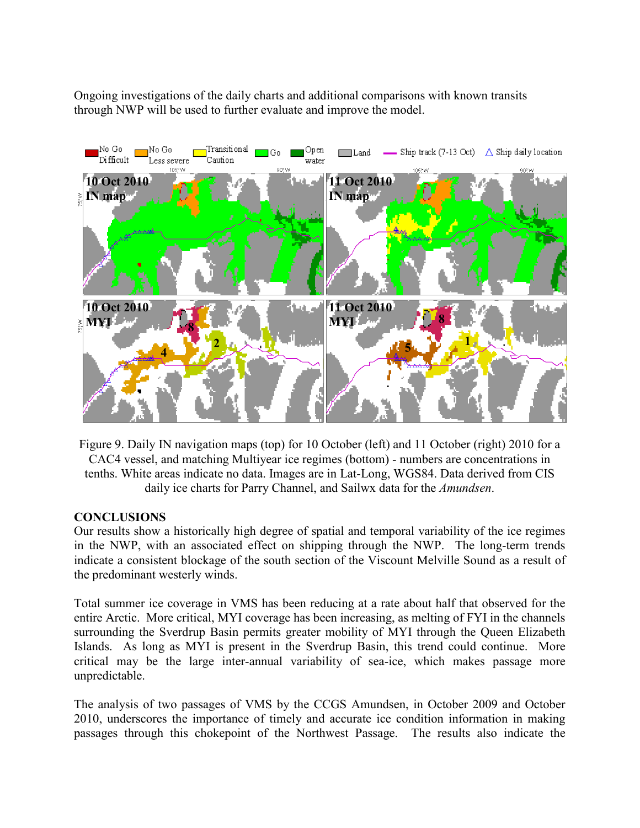Ongoing investigations of the daily charts and additional comparisons with known transits through NWP will be used to further evaluate and improve the model.



Figure 9. Daily IN navigation maps (top) for 10 October (left) and 11 October (right) 2010 for a CAC4 vessel, and matching Multiyear ice regimes (bottom) - numbers are concentrations in tenths. White areas indicate no data. Images are in Lat-Long, WGS84. Data derived from CIS daily ice charts for Parry Channel, and Sailwx data for the *Amundsen*.

## **CONCLUSIONS**

Our results show a historically high degree of spatial and temporal variability of the ice regimes in the NWP, with an associated effect on shipping through the NWP. The long-term trends indicate a consistent blockage of the south section of the Viscount Melville Sound as a result of the predominant westerly winds.

Total summer ice coverage in VMS has been reducing at a rate about half that observed for the entire Arctic. More critical, MYI coverage has been increasing, as melting of FYI in the channels surrounding the Sverdrup Basin permits greater mobility of MYI through the Queen Elizabeth Islands. As long as MYI is present in the Sverdrup Basin, this trend could continue. More critical may be the large inter-annual variability of sea-ice, which makes passage more unpredictable.

The analysis of two passages of VMS by the CCGS Amundsen, in October 2009 and October 2010, underscores the importance of timely and accurate ice condition information in making passages through this chokepoint of the Northwest Passage. The results also indicate the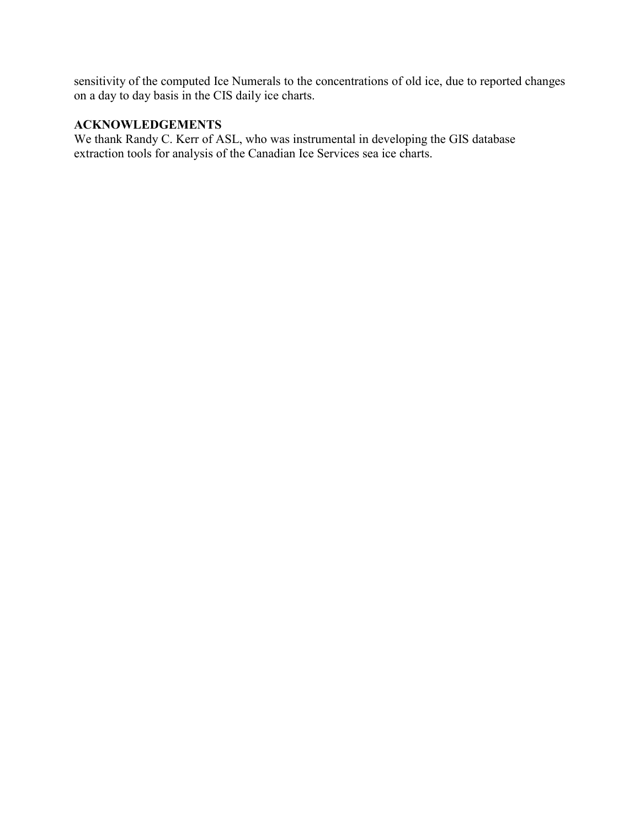sensitivity of the computed Ice Numerals to the concentrations of old ice, due to reported changes on a day to day basis in the CIS daily ice charts.

# **ACKNOWLEDGEMENTS**

We thank Randy C. Kerr of ASL, who was instrumental in developing the GIS database extraction tools for analysis of the Canadian Ice Services sea ice charts.